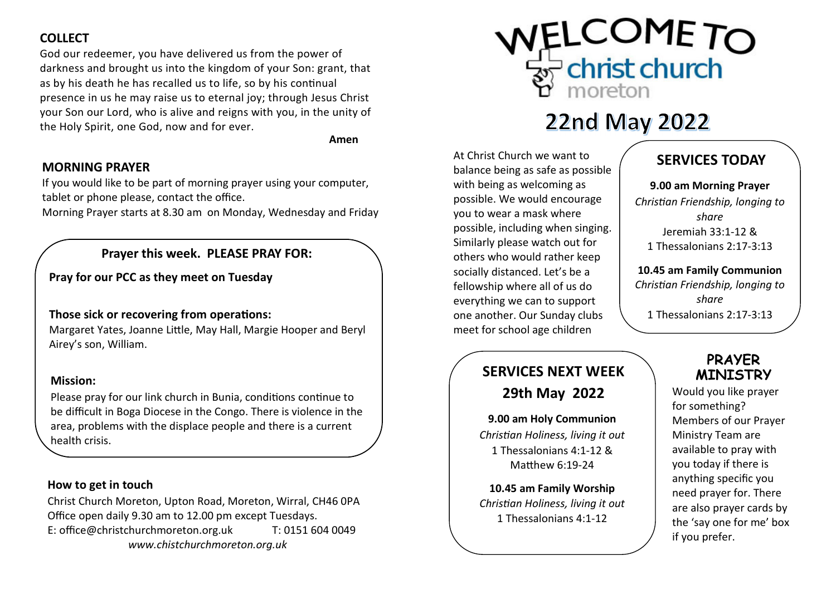### **COLLECT**

 God our redeemer, you have delivered us from the power of darkness and brought us into the kingdom of your Son: grant, that as by his death he has recalled us to life, so by his continual presence in us he may raise us to eternal joy; through Jesus Christ your Son our Lord, who is alive and reigns with you, in the unity of the Holy Spirit, one God, now and for ever.

Amen

#### MORNING PRAYER

If you would like to be part of morning prayer using your computer, tablet or phone please, contact the office.

Morning Prayer starts at 8.30 am on Monday, Wednesday and Friday

#### Prayer this week. PLEASE PRAY FOR:

Pray for our PCC as they meet on Tuesday

#### Those sick or recovering from operations:

Margaret Yates, Joanne Little, May Hall, Margie Hooper and Beryl Airey's son, William.

#### Mission:

Please pray for our link church in Bunia, conditions continue to be difficult in Boga Diocese in the Congo. There is violence in the area, problems with the displace people and there is a current health crisis.

#### How to get in touch

Christ Church Moreton, Upton Road, Moreton, Wirral, CH46 0PA Office open daily 9.30 am to 12.00 pm except Tuesdays. E: office@christchurchmoreton.org.uk T: 0151 604 0049 www.chistchurchmoreton.org.uk



# 22nd May 2022

At Christ Church we want to balance being as safe as possible with being as welcoming as possible. We would encourage you to wear a mask where possible, including when singing. Similarly please watch out for others who would rather keep socially distanced. Let's be a fellowship where all of us do everything we can to support one another. Our Sunday clubs meet for school age children

# SERVICES NEXT WEEK 29th May 2022

9.00 am Holy Communion Christian Holiness, living it out 1 Thessalonians 4:1-12 & Matthew  $6:19-24$ 

10.45 am Family Worship Christian Holiness, living it out 1 Thessalonians 4:1-12

# SERVICES TODAY

9.00 am Morning Prayer Christian Friendship, longing to share Jeremiah 33:1-12 & 1 Thessalonians 2:17-3:13

10.45 am Family Communion Christian Friendship, longing to share 1 Thessalonians 2:17-3:13

## PRAYER MINISTRY

 Would you like prayer for something? Members of our Prayer Ministry Team are available to pray with you today if there is anything specific you need prayer for. There are also prayer cards by the 'say one for me' box if you prefer.